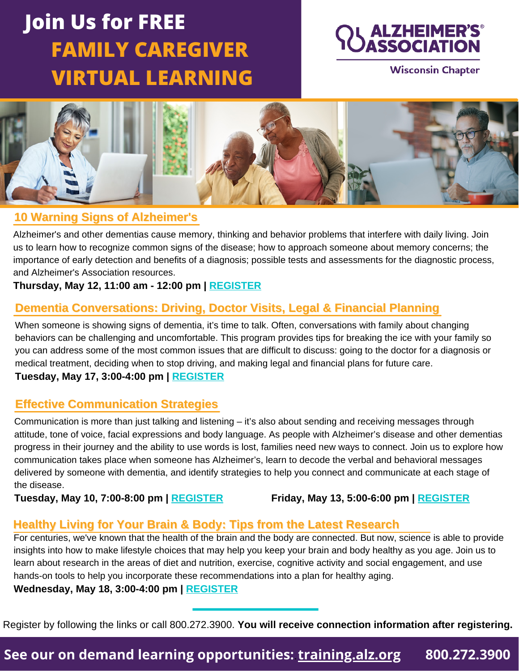# **Join Us for FREE FAMILY CAREGIVER VIRTUAL LEARNING**



**Wisconsin Chapter** 



## **10 Warning Signs of Alzheimer's**

Alzheimer's and other dementias cause memory, thinking and behavior problems that interfere with daily living. Join us to learn how to recognize common signs of the disease; how to approach someone about memory concerns; the importance of early detection and benefits of a diagnosis; possible tests and assessments for the diagnostic process, and Alzheimer's Association resources.

#### **Thursday, May 12, 11:00 am - 12:00 pm | [REGISTER](https://www.communityresourcefinder.org/ResourceView/Index?id=2532543&profileDefinitionId=93)**

## **Dementia Conversations: Driving, Doctor Visits, Legal & Financial Planning**

When someone is showing signs of dementia, it's time to talk. Often, conversations with family about changing behaviors can be challenging and uncomfortable. This program provides tips for breaking the ice with your family so you can address some of the most common issues that are difficult to discuss: going to the doctor for a diagnosis or medical treatment, deciding when to stop driving, and making legal and financial plans for future care.

**Tuesday, May 17, 3:00-4:00 pm | [REGISTER](https://www.communityresourcefinder.org/ResourceView/Index?id=2537314&profileDefinitionId=93)**

### **Effective Communication Strategies**

[Communication](https://www.communityresourcefinder.org/ResourceView/Index?id=2530508&profileDefinitionId=93) is more than just talking and listening – it's also about sending and receiving messages through attitude, tone of voice, facial expressions and body language. As people with Alzheimer's disease and other dementias progress in their journey and the ability to use words is lost, families need new ways to connect. Join us to explore how [communication](https://www.communityresourcefinder.org/ResourceView/Index?id=2530508&profileDefinitionId=93) takes place when someone has Alzheimer's, learn to decode the verbal and behavioral messages delivered by someone with dementia, and identify strategies to help you connect and communicate at each stage of the [disease.](https://www.communityresourcefinder.org/ResourceView/Index?id=2530508&profileDefinitionId=93)

**[Tuesday, May 10, 7:00-8:00 pm |](https://www.communityresourcefinder.org/ResourceView/Index?id=2530508&profileDefinitionId=93) [REGISTER](https://www.communityresourcefinder.org/ResourceView/Index?id=2447034&profileDefinitionId=93)****[Friday, May 13, 5:00-6:00 pm](https://www.communityresourcefinder.org/ResourceView/Index?id=2530508&profileDefinitionId=93) [| REGISTER](https://www.communityresourcefinder.org/ResourceView/Index?id=2530508&profileDefinitionId=93)**

## **Healthy Living for Your Brain & Body: Tips from the Latest Research**

For centuries, we've known that the health of the brain and the body are connected. But now, science is able to provide insights into how to make lifestyle choices that may help you keep your brain and body healthy as you age. Join us to learn about research in the areas of diet and nutrition, exercise, cognitive activity and social engagement, and use hands-on tools to help you incorporate these recommendations into a plan for healthy aging. **Wednesday, May 18, 3:00-4:00 pm | [REGISTER](https://www.communityresourcefinder.org/ResourceView/Index?id=2532550&profileDefinitionId=93)**

Register by following the links or call 800.272.3900. **You will receive connection information after registering.**